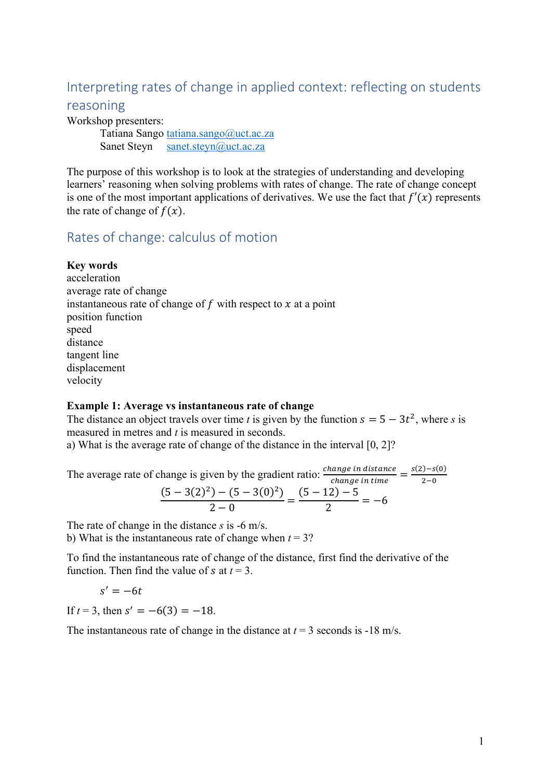# Interpreting rates of change in applied context: reflecting on students

# reasoning

Workshop presenters:

Tatiana Sango tatiana.sango@uct.ac.za Sanet Steyn sanet.steyn@uct.ac.za

The purpose of this workshop is to look at the strategies of understanding and developing learners' reasoning when solving problems with rates of change. The rate of change concept is one of the most important applications of derivatives. We use the fact that  $f'(x)$  represents the rate of change of  $f(x)$ .

# Rates of change: calculus of motion

## **Key words**

acceleration average rate of change instantaneous rate of change of  $f$  with respect to  $x$  at a point position function speed distance tangent line displacement velocity

#### **Example 1: Average vs instantaneous rate of change**

The distance an object travels over time *t* is given by the function  $s = 5 - 3t^2$ , where *s* is measured in metres and *t* is measured in seconds.

a) What is the average rate of change of the distance in the interval [0, 2]?

The average rate of change is given by the gradient ratio:  $\frac{change\ in\ distance}{change\ in\ time} = \frac{s(2)-s(0)}{2-0}$  $\frac{(5-3(2)^2)-(5-3(0)^2)}{2-0}=\frac{(5-12)-5}{2}=-6$ 

The rate of change in the distance *s* is -6 m/s. b) What is the instantaneous rate of change when *t* = 3?

To find the instantaneous rate of change of the distance, first find the derivative of the function. Then find the value of  $s$  at  $t = 3$ .

$$
s'=-6t
$$

If  $t = 3$ , then  $s' = -6(3) = -18$ .

The instantaneous rate of change in the distance at  $t = 3$  seconds is -18 m/s.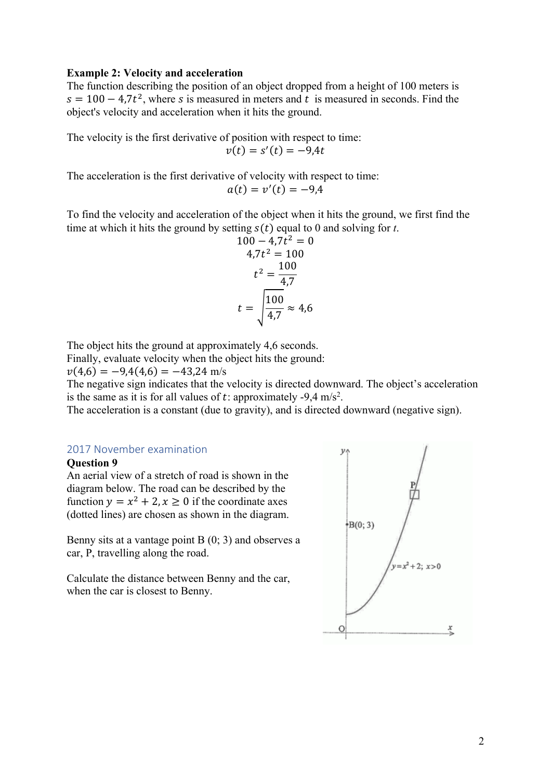#### **Example 2: Velocity and acceleration**

The function describing the position of an object dropped from a height of 100 meters is  $s = 100 - 4.7t^2$ , where *s* is measured in meters and *t* is measured in seconds. Find the object's velocity and acceleration when it hits the ground.

The velocity is the first derivative of position with respect to time:

$$
v(t) = s'(t) = -9.4t
$$

The acceleration is the first derivative of velocity with respect to time:  $a(t) = v'(t) = -9.4$ 

To find the velocity and acceleration of the object when it hits the ground, we first find the time at which it hits the ground by setting  $s(t)$  equal to 0 and solving for *t*.

$$
100 - 4.7t2 = 0
$$
  
\n
$$
4.7t2 = 100
$$
  
\n
$$
t2 = \frac{100}{4.7}
$$
  
\n
$$
t = \sqrt{\frac{100}{4.7}} \approx 4.6
$$

The object hits the ground at approximately 4,6 seconds.

Finally, evaluate velocity when the object hits the ground:

 $v(4,6) = -9,4(4,6) = -43,24$  m/s

The negative sign indicates that the velocity is directed downward. The object's acceleration is the same as it is for all values of t: approximately -9,4 m/s<sup>2</sup>.

The acceleration is a constant (due to gravity), and is directed downward (negative sign).

#### 2017 November examination

#### **Question 9**

An aerial view of a stretch of road is shown in the diagram below. The road can be described by the function  $y = x^2 + 2$ ,  $x \ge 0$  if the coordinate axes (dotted lines) are chosen as shown in the diagram.

Benny sits at a vantage point B (0; 3) and observes a car, P, travelling along the road.

Calculate the distance between Benny and the car, when the car is closest to Benny.

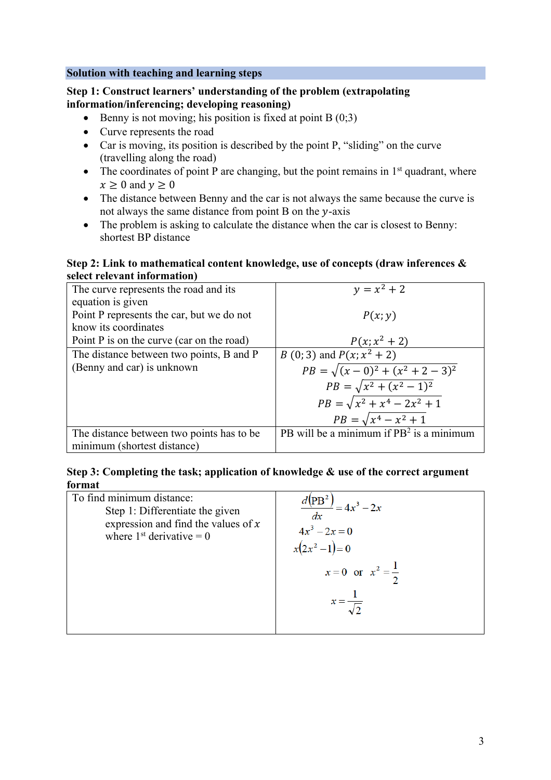# **Solution with teaching and learning steps**

# **Step 1: Construct learners' understanding of the problem (extrapolating information/inferencing; developing reasoning)**

- Benny is not moving; his position is fixed at point  $B(0,3)$
- Curve represents the road
- Car is moving, its position is described by the point P, "sliding" on the curve (travelling along the road)
- The coordinates of point P are changing, but the point remains in  $1<sup>st</sup>$  quadrant, where  $x \geq 0$  and  $y \geq 0$
- The distance between Benny and the car is not always the same because the curve is not always the same distance from point  $B$  on the y-axis
- The problem is asking to calculate the distance when the car is closest to Benny: shortest BP distance

#### **Step 2: Link to mathematical content knowledge, use of concepts (draw inferences & select relevant information)**

| The curve represents the road and its       | $y = x^2 + 2$                                |
|---------------------------------------------|----------------------------------------------|
| equation is given                           |                                              |
| Point P represents the car, but we do not   | P(x; y)                                      |
| know its coordinates                        |                                              |
| Point $P$ is on the curve (car on the road) | $P(x; x^2 + 2)$                              |
| The distance between two points, B and P    | <i>B</i> (0; 3) and $P(x; x^2 + 2)$          |
| (Benny and car) is unknown                  | $PB = \sqrt{(x-0)^2 + (x^2 + 2 - 3)^2}$      |
|                                             | $PB = \sqrt{x^2 + (x^2 - 1)^2}$              |
|                                             | $PB = \sqrt{x^2 + x^4 - 2x^2 + 1}$           |
|                                             | $PB = \sqrt{x^4 - x^2 + 1}$                  |
| The distance between two points has to be.  | $PB$ will be a minimum if $PB2$ is a minimum |
| minimum (shortest distance)                 |                                              |

| To find minimum distance:             | $=4x^3-2x$                                               |
|---------------------------------------|----------------------------------------------------------|
| Step 1: Differentiate the given       | dx                                                       |
| expression and find the values of $x$ | $4x^3 - 2x = 0$                                          |
| where $1st$ derivative = 0            | $x(2x^2-1)=0$                                            |
|                                       | $x = 0$ or $x^2 = \frac{1}{2}$<br>$x=\frac{1}{\sqrt{2}}$ |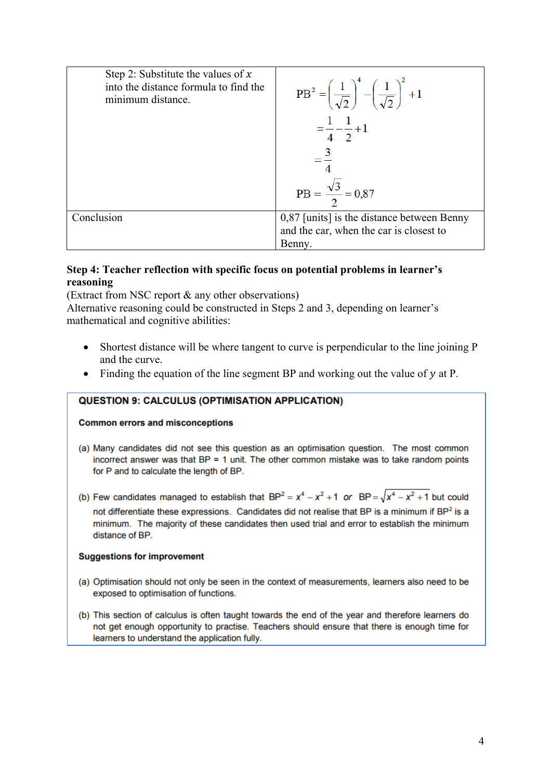| Step 2: Substitute the values of $x$<br>into the distance formula to find the<br>minimum distance. | $PB^{2} = \left(\frac{1}{\sqrt{2}}\right)^{4} - \left(\frac{1}{\sqrt{2}}\right)^{2} + 1$<br>$=\frac{1}{4}-\frac{1}{2}+1$<br>$PB = \frac{\sqrt{3}}{2} = 0.87$ |
|----------------------------------------------------------------------------------------------------|--------------------------------------------------------------------------------------------------------------------------------------------------------------|
| Conclusion                                                                                         |                                                                                                                                                              |
|                                                                                                    | $0,87$ [units] is the distance between Benny<br>and the car, when the car is closest to                                                                      |
|                                                                                                    | Benny.                                                                                                                                                       |

# **Step 4: Teacher reflection with specific focus on potential problems in learner's reasoning**

(Extract from NSC report & any other observations)

Alternative reasoning could be constructed in Steps 2 and 3, depending on learner's mathematical and cognitive abilities:

- Shortest distance will be where tangent to curve is perpendicular to the line joining P and the curve.
- Finding the equation of the line segment BP and working out the value of  $y$  at P.

#### **QUESTION 9: CALCULUS (OPTIMISATION APPLICATION)**

#### **Common errors and misconceptions**

(a) Many candidates did not see this question as an optimisation question. The most common incorrect answer was that  $BP = 1$  unit. The other common mistake was to take random points for P and to calculate the length of BP.

(b) Few candidates managed to establish that  $BP^2 = x^4 - x^2 + 1$  or  $BP = \sqrt{x^4 - x^2 + 1}$  but could not differentiate these expressions. Candidates did not realise that BP is a minimum if BP<sup>2</sup> is a minimum. The majority of these candidates then used trial and error to establish the minimum distance of BP.

#### **Suggestions for improvement**

- (a) Optimisation should not only be seen in the context of measurements, learners also need to be exposed to optimisation of functions.
- (b) This section of calculus is often taught towards the end of the year and therefore learners do not get enough opportunity to practise. Teachers should ensure that there is enough time for learners to understand the application fully.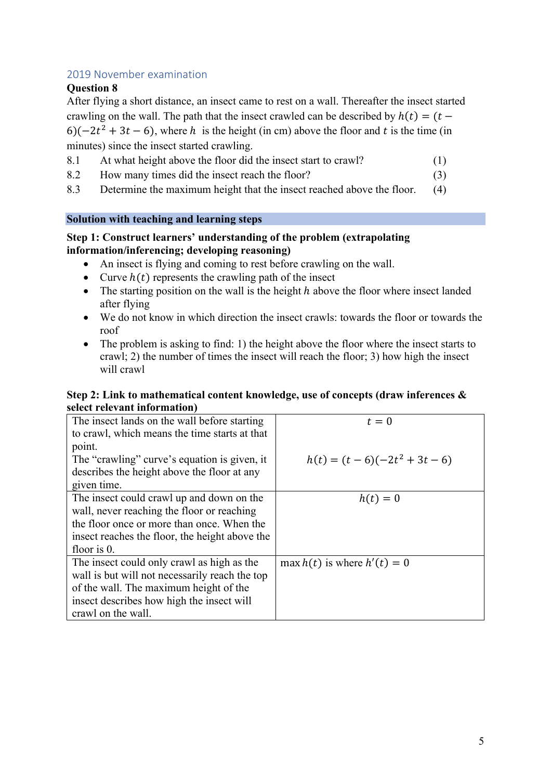# 2019 November examination

## **Question 8**

After flying a short distance, an insect came to rest on a wall. Thereafter the insect started crawling on the wall. The path that the insect crawled can be described by  $h(t) = (t -$ 6)( $-2t^2 + 3t - 6$ ), where h is the height (in cm) above the floor and t is the time (in minutes) since the insect started crawling.

- 8.1 At what height above the floor did the insect start to crawl? (1)
- 8.2 How many times did the insect reach the floor? (3)
- 8.3 Determine the maximum height that the insect reached above the floor. (4)

### **Solution with teaching and learning steps**

## **Step 1: Construct learners' understanding of the problem (extrapolating information/inferencing; developing reasoning)**

- An insect is flying and coming to rest before crawling on the wall.
- Curve  $h(t)$  represents the crawling path of the insect
- The starting position on the wall is the height  $h$  above the floor where insect landed after flying
- We do not know in which direction the insect crawls: towards the floor or towards the roof
- The problem is asking to find: 1) the height above the floor where the insect starts to crawl; 2) the number of times the insect will reach the floor; 3) how high the insect will crawl

#### **Step 2: Link to mathematical content knowledge, use of concepts (draw inferences & select relevant information)**

| $t=0$                           |
|---------------------------------|
|                                 |
|                                 |
| $h(t) = (t-6)(-2t^2+3t-6)$      |
|                                 |
|                                 |
| $h(t)=0$                        |
|                                 |
|                                 |
|                                 |
|                                 |
| max $h(t)$ is where $h'(t) = 0$ |
|                                 |
|                                 |
|                                 |
|                                 |
|                                 |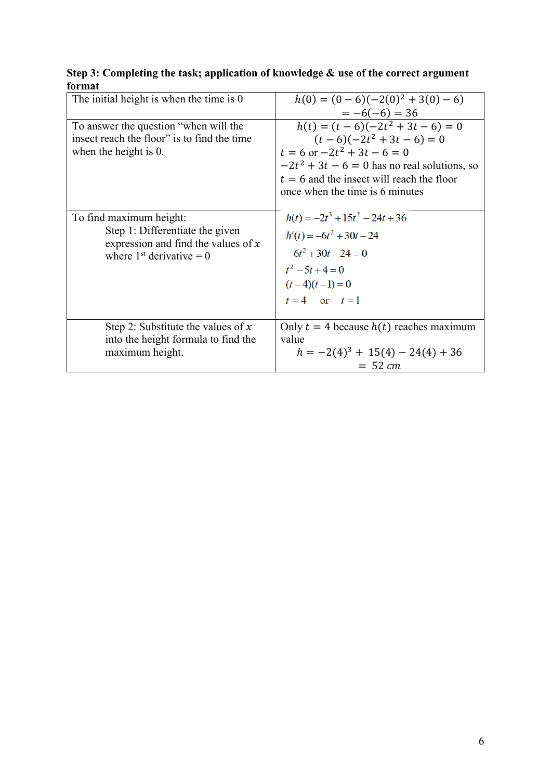| The initial height is when the time is 0                                                                                          | $h(0) = (0-6)(-2(0)^2 + 3(0) - 6)$<br>$= -6(-6) = 36$                                                                                                                                                                                         |
|-----------------------------------------------------------------------------------------------------------------------------------|-----------------------------------------------------------------------------------------------------------------------------------------------------------------------------------------------------------------------------------------------|
| To answer the question "when will the<br>insect reach the floor" is to find the time<br>when the height is 0.                     | $\overline{h(t)} = (t-6)(-2t^2 + 3t - 6) = 0$<br>$(t-6)(-2t^2+3t-6)=0$<br>$t = 6$ or $-2t^2 + 3t - 6 = 0$<br>$-2t^2 + 3t - 6 = 0$ has no real solutions, so<br>$t = 6$ and the insect will reach the floor<br>once when the time is 6 minutes |
| To find maximum height:<br>Step 1: Differentiate the given<br>expression and find the values of $x$<br>where $1st$ derivative = 0 | $h(t) = -2t^3 + 15t^2 - 24t + 36$<br>$h'(t) = -6t^2 + 30t - 24$<br>$-6t^2 + 30t - 24 = 0$<br>$t^2-5t+4=0$<br>$(t-4)(t-1)=0$<br>$t=4$ or $t=1$                                                                                                 |
| Step 2: Substitute the values of $x$<br>into the height formula to find the<br>maximum height.                                    | Only $t = 4$ because $h(t)$ reaches maximum<br>value<br>$h = -2(4)^3 + 15(4) - 24(4) + 36$<br>$= 52 \, \text{cm}$                                                                                                                             |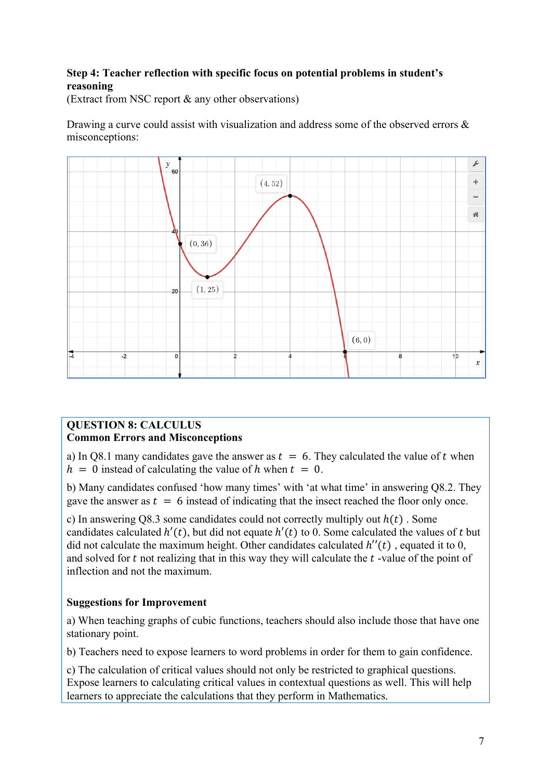# **Step 4: Teacher reflection with specific focus on potential problems in student's reasoning**

(Extract from NSC report & any other observations)

Drawing a curve could assist with visualization and address some of the observed errors & misconceptions:



## **QUESTION 8: CALCULUS Common Errors and Misconceptions**

a) In Q8.1 many candidates gave the answer as  $t = 6$ . They calculated the value of t when  $h = 0$  instead of calculating the value of h when  $t = 0$ .

b) Many candidates confused 'how many times' with 'at what time' in answering Q8.2. They gave the answer as  $t = 6$  instead of indicating that the insect reached the floor only once.

c) In answering Q8.3 some candidates could not correctly multiply out  $h(t)$ . Some candidates calculated  $h'(t)$ , but did not equate  $h'(t)$  to 0. Some calculated the values of t but did not calculate the maximum height. Other candidates calculated  $h''(t)$ , equated it to 0, and solved for  $t$  not realizing that in this way they will calculate the  $t$ -value of the point of inflection and not the maximum.

# **Suggestions for Improvement**

a) When teaching graphs of cubic functions, teachers should also include those that have one stationary point.

b) Teachers need to expose learners to word problems in order for them to gain confidence.

c) The calculation of critical values should not only be restricted to graphical questions. Expose learners to calculating critical values in contextual questions as well. This will help learners to appreciate the calculations that they perform in Mathematics.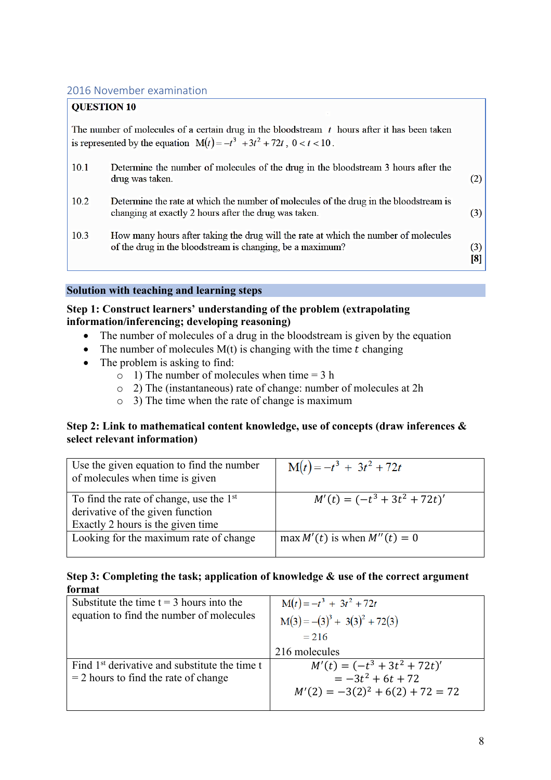# 2016 November examination

# **OUESTION 10**

The number of molecules of a certain drug in the bloodstream  $t$  hours after it has been taken is represented by the equation  $M(t) = -t^3 + 3t^2 + 72t$ ,  $0 < t < 10$ .

| 10.1 | Determine the number of molecules of the drug in the bloodstream 3 hours after the<br>drug was taken.                                            | (2)        |
|------|--------------------------------------------------------------------------------------------------------------------------------------------------|------------|
| 10.2 | Determine the rate at which the number of molecules of the drug in the bloodstream is<br>changing at exactly 2 hours after the drug was taken.   | (3)        |
| 10.3 | How many hours after taking the drug will the rate at which the number of molecules<br>of the drug in the bloodstream is changing, be a maximum? | (3)<br>[8] |

#### **Solution with teaching and learning steps**

### **Step 1: Construct learners' understanding of the problem (extrapolating information/inferencing; developing reasoning)**

- The number of molecules of a drug in the bloodstream is given by the equation
- The number of molecules  $M(t)$  is changing with the time  $t$  changing
- The problem is asking to find:
	- $\circ$  1) The number of molecules when time = 3 h
	- o 2) The (instantaneous) rate of change: number of molecules at 2h
	- o 3) The time when the rate of change is maximum

### **Step 2: Link to mathematical content knowledge, use of concepts (draw inferences & select relevant information)**

| Use the given equation to find the number<br>of molecules when time is given                                       | $M(t) = -t^3 + 3t^2 + 72t$       |
|--------------------------------------------------------------------------------------------------------------------|----------------------------------|
| To find the rate of change, use the $1st$<br>derivative of the given function<br>Exactly 2 hours is the given time | $M'(t) = (-t^3 + 3t^2 + 72t)'$   |
| Looking for the maximum rate of change                                                                             | max $M'(t)$ is when $M''(t) = 0$ |

| Substitute the time $t = 3$ hours into the                | $M(t) = -t^3 + 3t^2 + 72t$           |
|-----------------------------------------------------------|--------------------------------------|
| equation to find the number of molecules                  | $M(3) = -(3)^3 + 3(3)^2 + 72(3)$     |
|                                                           | $= 216$                              |
|                                                           | 216 molecules                        |
| Find 1 <sup>st</sup> derivative and substitute the time t | $M'(t) = (-t^3 + 3t^2 + 72t)'$       |
| $=$ 2 hours to find the rate of change                    | $= -3t^2 + 6t + 72$                  |
|                                                           | $M'(2) = -3(2)^{2} + 6(2) + 72 = 72$ |
|                                                           |                                      |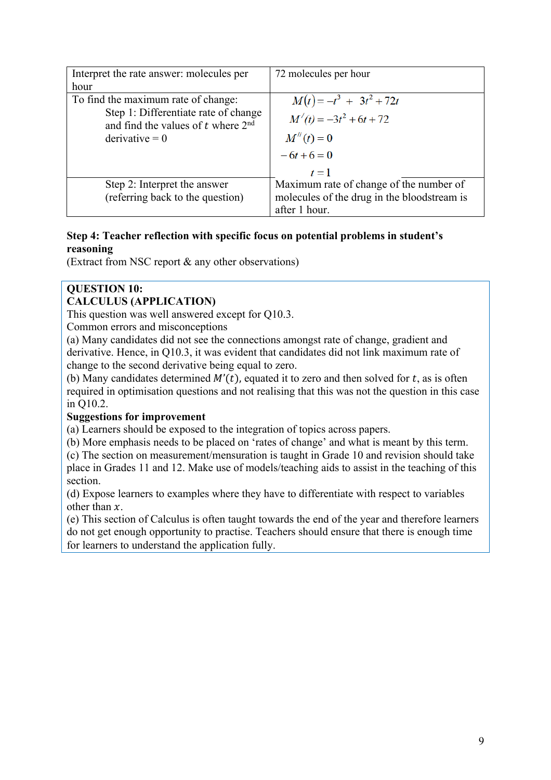| Interpret the rate answer: molecules per                                     | 72 molecules per hour                       |
|------------------------------------------------------------------------------|---------------------------------------------|
| hour                                                                         |                                             |
| To find the maximum rate of change:                                          | $M(t) = -t^3 + 3t^2 + 72t$                  |
| Step 1: Differentiate rate of change<br>and find the values of t where $2nd$ | $M'(t) = -3t^2 + 6t + 72$                   |
| $derivative = 0$                                                             | $M''(t) = 0$                                |
|                                                                              | $-6t+6=0$                                   |
|                                                                              | $t=1$                                       |
| Step 2: Interpret the answer                                                 | Maximum rate of change of the number of     |
| (referring back to the question)                                             | molecules of the drug in the bloodstream is |
|                                                                              | after 1 hour.                               |

# **Step 4: Teacher reflection with specific focus on potential problems in student's reasoning**

(Extract from NSC report & any other observations)

#### **QUESTION 10: CALCULUS (APPLICATION)**

This question was well answered except for Q10.3.

Common errors and misconceptions

(a) Many candidates did not see the connections amongst rate of change, gradient and derivative. Hence, in Q10.3, it was evident that candidates did not link maximum rate of change to the second derivative being equal to zero.

(b) Many candidates determined  $M'(t)$ , equated it to zero and then solved for t, as is often required in optimisation questions and not realising that this was not the question in this case in Q10.2.

## **Suggestions for improvement**

(a) Learners should be exposed to the integration of topics across papers.

(b) More emphasis needs to be placed on 'rates of change' and what is meant by this term.

(c) The section on measurement/mensuration is taught in Grade 10 and revision should take place in Grades 11 and 12. Make use of models/teaching aids to assist in the teaching of this section.

(d) Expose learners to examples where they have to differentiate with respect to variables other than  $x$ .

(e) This section of Calculus is often taught towards the end of the year and therefore learners do not get enough opportunity to practise. Teachers should ensure that there is enough time for learners to understand the application fully.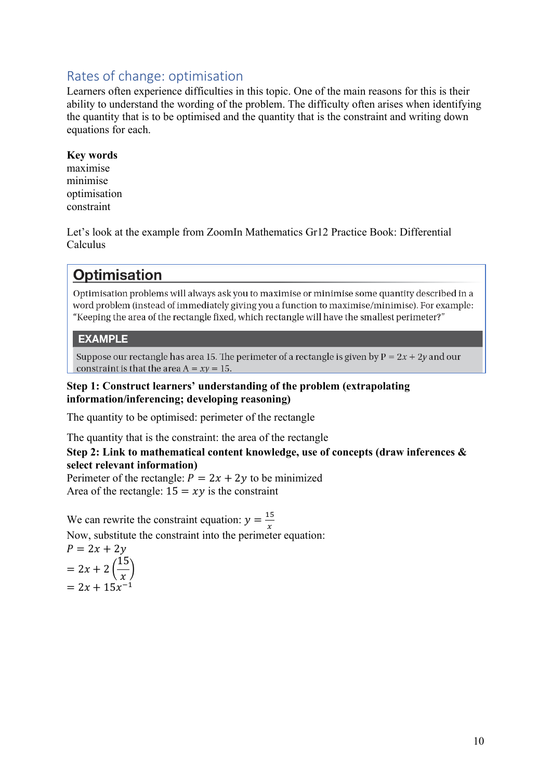# Rates of change: optimisation

Learners often experience difficulties in this topic. One of the main reasons for this is their ability to understand the wording of the problem. The difficulty often arises when identifying the quantity that is to be optimised and the quantity that is the constraint and writing down equations for each.

## **Key words**

maximise minimise optimisation constraint

Let's look at the example from ZoomIn Mathematics Gr12 Practice Book: Differential Calculus

# **Optimisation**

Optimisation problems will always ask you to maximise or minimise some quantity described in a word problem (instead of immediately giving you a function to maximise/minimise). For example: "Keeping the area of the rectangle fixed, which rectangle will have the smallest perimeter?"

## **EXAMPLE**

Suppose our rectangle has area 15. The perimeter of a rectangle is given by  $P = 2x + 2y$  and our constraint is that the area  $A = xy = 15$ .

### **Step 1: Construct learners' understanding of the problem (extrapolating information/inferencing; developing reasoning)**

The quantity to be optimised: perimeter of the rectangle

The quantity that is the constraint: the area of the rectangle

## **Step 2: Link to mathematical content knowledge, use of concepts (draw inferences & select relevant information)**

Perimeter of the rectangle:  $P = 2x + 2y$  to be minimized Area of the rectangle:  $15 = xy$  is the constraint

We can rewrite the constraint equation:  $y = \frac{15}{x}$ Now, substitute the constraint into the perimeter equation:

$$
P = 2x + 2y
$$
  
= 2x + 2 $\left(\frac{15}{x}\right)$   
= 2x + 15x<sup>-1</sup>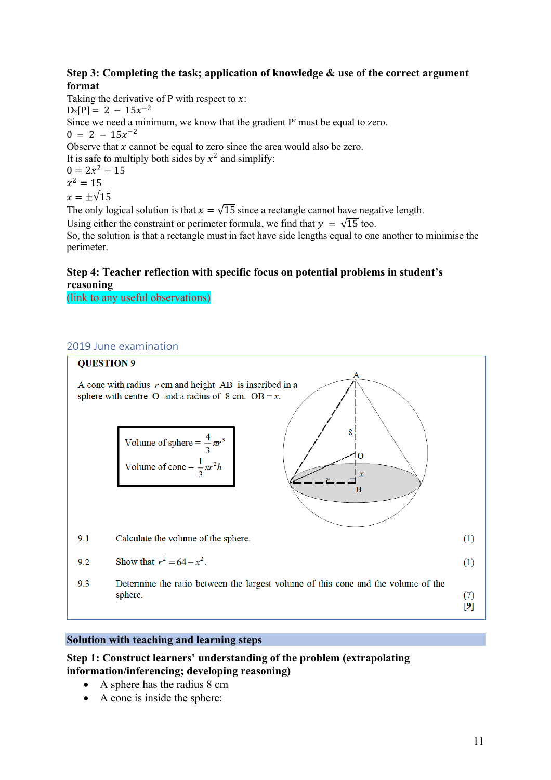## **Step 3: Completing the task; application of knowledge & use of the correct argument format**

Taking the derivative of P with respect to  $x$ :  $D_x[P] = 2 - 15x^{-2}$ Since we need a minimum, we know that the gradient P′ must be equal to zero.  $0 = 2 - 15x^{-2}$ Observe that  $x$  cannot be equal to zero since the area would also be zero. It is safe to multiply both sides by  $x^2$  and simplify:  $0 = 2x^2 - 15$  $x^2 = 15$  $x = \pm \sqrt{15}$ The only logical solution is that  $x = \sqrt{15}$  since a rectangle cannot have negative length.

Using either the constraint or perimeter formula, we find that  $y = \sqrt{15}$  too. So, the solution is that a rectangle must in fact have side lengths equal to one another to minimise the perimeter.

## **Step 4: Teacher reflection with specific focus on potential problems in student's reasoning**

(link to any useful observations)

### 2019 June examination



#### **Solution with teaching and learning steps**

#### **Step 1: Construct learners' understanding of the problem (extrapolating information/inferencing; developing reasoning)**

- A sphere has the radius 8 cm
- A cone is inside the sphere: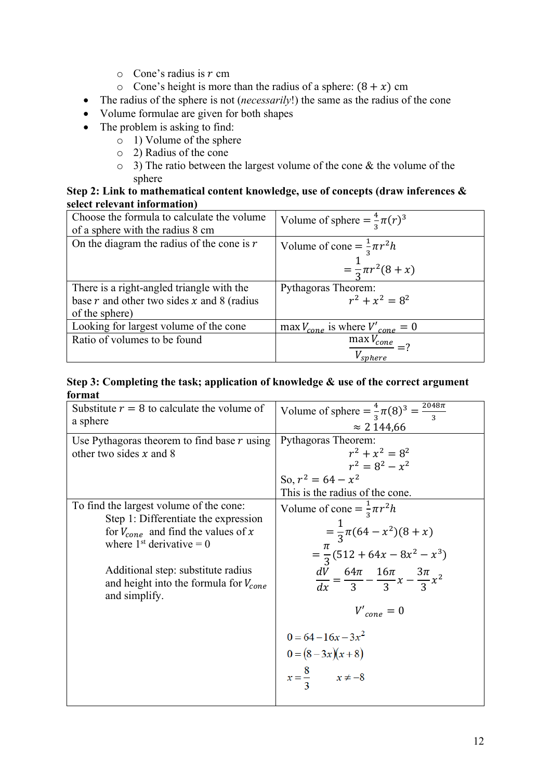- $\circ$  Cone's radius is r cm
- o Cone's height is more than the radius of a sphere:  $(8 + x)$  cm
- The radius of the sphere is not (*necessarily*!) the same as the radius of the cone
- Volume formulae are given for both shapes
- The problem is asking to find:
	- $\circ$  1) Volume of the sphere
	- o 2) Radius of the cone
	- $\circ$  3) The ratio between the largest volume of the cone & the volume of the sphere

## **Step 2: Link to mathematical content knowledge, use of concepts (draw inferences & select relevant information)**

| Choose the formula to calculate the volume<br>of a sphere with the radius 8 cm | Volume of sphere = $\frac{4}{3}\pi(r)^3$     |
|--------------------------------------------------------------------------------|----------------------------------------------|
| On the diagram the radius of the cone is $r$                                   | Volume of cone = $\frac{1}{3}\pi r^2 h$      |
|                                                                                | $=\frac{1}{3}\pi r^2(8+x)$                   |
|                                                                                |                                              |
| There is a right-angled triangle with the                                      | Pythagoras Theorem:                          |
| base $r$ and other two sides $x$ and 8 (radius                                 | $r^2 + x^2 = 8^2$                            |
| of the sphere)                                                                 |                                              |
| Looking for largest volume of the cone                                         | max $V_{cone}$ is where $V'_{cone} = 0$      |
| Ratio of volumes to be found                                                   |                                              |
|                                                                                | $\frac{\text{max }V_{cone}}{V_{sphere}} = ?$ |

| Substitute $r = 8$ to calculate the volume of<br>a sphere                                                                                                                                                                                                     | Volume of sphere = $\frac{4}{3}\pi(8)^3 = \frac{2048\pi}{3}$<br>$\approx$ 2 144,66                                                                                                                                                                                                          |
|---------------------------------------------------------------------------------------------------------------------------------------------------------------------------------------------------------------------------------------------------------------|---------------------------------------------------------------------------------------------------------------------------------------------------------------------------------------------------------------------------------------------------------------------------------------------|
| Use Pythagoras theorem to find base $r$ using<br>other two sides $x$ and 8                                                                                                                                                                                    | Pythagoras Theorem:<br>$r^2 + x^2 = 8^2$<br>$r^2 = 8^2 - x^2$<br>So, $r^2 = 64 - x^2$<br>This is the radius of the cone.                                                                                                                                                                    |
| To find the largest volume of the cone:<br>Step 1: Differentiate the expression<br>for $V_{cone}$ and find the values of x<br>where $1st$ derivative = 0<br>Additional step: substitute radius<br>and height into the formula for $V_{cone}$<br>and simplify. | Volume of cone = $\frac{1}{3}\pi r^2 h$<br>$=\frac{1}{3}\pi(64-x^2)(8+x)$<br>$=\frac{\pi}{3}(512+64x-8x^2-x^3)$<br>$\frac{dV}{dx} = \frac{64\pi}{3} - \frac{16\pi}{3}x - \frac{3\pi}{3}x^2$<br>$V'_{cone} = 0$<br>$0 = 64 - 16x - 3x^2$<br>$0 = (8-3x)(x+8)$<br>$x=\frac{8}{3}$ $x \neq -8$ |